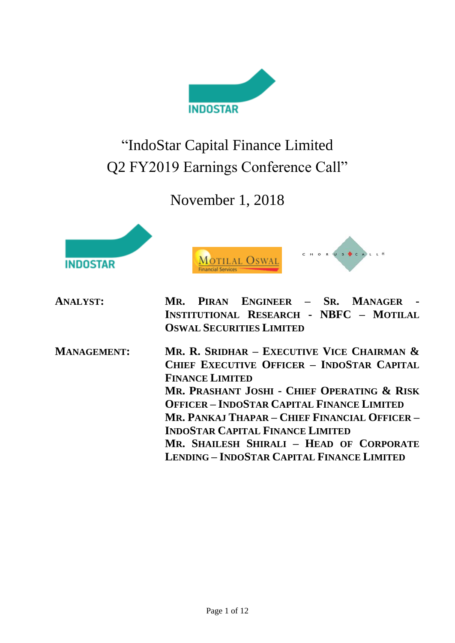

# "IndoStar Capital Finance Limited Q2 FY2019 Earnings Conference Call"

# November 1, 2018





| <b>ANALYST:</b> |  | MR. PIRAN ENGINEER - SR. MANAGER -      |  |  |  |
|-----------------|--|-----------------------------------------|--|--|--|
|                 |  | INSTITUTIONAL RESEARCH - NBFC - MOTILAL |  |  |  |
|                 |  | <b>OSWAL SECURITIES LIMITED</b>         |  |  |  |

**MANAGEMENT: MR. R. SRIDHAR – EXECUTIVE VICE CHAIRMAN & CHIEF EXECUTIVE OFFICER – INDOSTAR CAPITAL FINANCE LIMITED MR. PRASHANT JOSHI - CHIEF OPERATING & RISK OFFICER – INDOSTAR CAPITAL FINANCE LIMITED MR. PANKAJ THAPAR – CHIEF FINANCIAL OFFICER – INDOSTAR CAPITAL FINANCE LIMITED MR. SHAILESH SHIRALI – HEAD OF CORPORATE LENDING – INDOSTAR CAPITAL FINANCE LIMITED**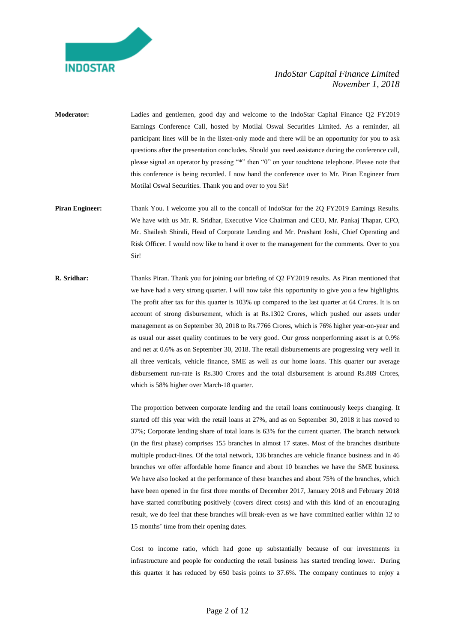

- **Moderator:** Ladies and gentlemen, good day and welcome to the IndoStar Capital Finance Q2 FY2019 Earnings Conference Call, hosted by Motilal Oswal Securities Limited. As a reminder, all participant lines will be in the listen-only mode and there will be an opportunity for you to ask questions after the presentation concludes. Should you need assistance during the conference call, please signal an operator by pressing "\*" then "0" on your touchtone telephone. Please note that this conference is being recorded. I now hand the conference over to Mr. Piran Engineer from Motilal Oswal Securities. Thank you and over to you Sir!
- **Piran Engineer:** Thank You. I welcome you all to the concall of IndoStar for the 2Q FY2019 Earnings Results. We have with us Mr. R. Sridhar, Executive Vice Chairman and CEO, Mr. Pankaj Thapar, CFO, Mr. Shailesh Shirali, Head of Corporate Lending and Mr. Prashant Joshi, Chief Operating and Risk Officer. I would now like to hand it over to the management for the comments. Over to you Sir!
- **R. Sridhar:** Thanks Piran. Thank you for joining our briefing of Q2 FY2019 results. As Piran mentioned that we have had a very strong quarter. I will now take this opportunity to give you a few highlights. The profit after tax for this quarter is 103% up compared to the last quarter at 64 Crores. It is on account of strong disbursement, which is at Rs.1302 Crores, which pushed our assets under management as on September 30, 2018 to Rs.7766 Crores, which is 76% higher year-on-year and as usual our asset quality continues to be very good. Our gross nonperforming asset is at 0.9% and net at 0.6% as on September 30, 2018. The retail disbursements are progressing very well in all three verticals, vehicle finance, SME as well as our home loans. This quarter our average disbursement run-rate is Rs.300 Crores and the total disbursement is around Rs.889 Crores, which is 58% higher over March-18 quarter.

The proportion between corporate lending and the retail loans continuously keeps changing. It started off this year with the retail loans at 27%, and as on September 30, 2018 it has moved to 37%; Corporate lending share of total loans is 63% for the current quarter. The branch network (in the first phase) comprises 155 branches in almost 17 states. Most of the branches distribute multiple product-lines. Of the total network, 136 branches are vehicle finance business and in 46 branches we offer affordable home finance and about 10 branches we have the SME business. We have also looked at the performance of these branches and about 75% of the branches, which have been opened in the first three months of December 2017, January 2018 and February 2018 have started contributing positively (covers direct costs) and with this kind of an encouraging result, we do feel that these branches will break-even as we have committed earlier within 12 to 15 months' time from their opening dates.

Cost to income ratio, which had gone up substantially because of our investments in infrastructure and people for conducting the retail business has started trending lower. During this quarter it has reduced by 650 basis points to 37.6%. The company continues to enjoy a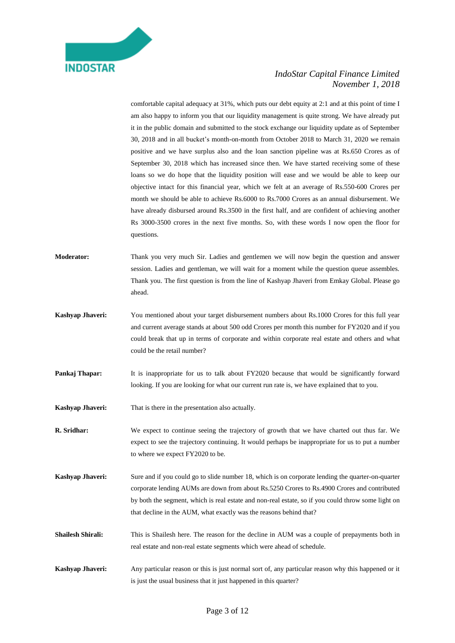

comfortable capital adequacy at 31%, which puts our debt equity at 2:1 and at this point of time I am also happy to inform you that our liquidity management is quite strong. We have already put it in the public domain and submitted to the stock exchange our liquidity update as of September 30, 2018 and in all bucket's month-on-month from October 2018 to March 31, 2020 we remain positive and we have surplus also and the loan sanction pipeline was at Rs.650 Crores as of September 30, 2018 which has increased since then. We have started receiving some of these loans so we do hope that the liquidity position will ease and we would be able to keep our objective intact for this financial year, which we felt at an average of Rs.550-600 Crores per month we should be able to achieve Rs.6000 to Rs.7000 Crores as an annual disbursement. We have already disbursed around Rs.3500 in the first half, and are confident of achieving another Rs 3000-3500 crores in the next five months. So, with these words I now open the floor for questions.

- **Moderator:** Thank you very much Sir. Ladies and gentlemen we will now begin the question and answer session. Ladies and gentleman, we will wait for a moment while the question queue assembles. Thank you. The first question is from the line of Kashyap Jhaveri from Emkay Global. Please go ahead.
- **Kashyap Jhaveri:** You mentioned about your target disbursement numbers about Rs.1000 Crores for this full year and current average stands at about 500 odd Crores per month this number for FY2020 and if you could break that up in terms of corporate and within corporate real estate and others and what could be the retail number?
- **Pankaj Thapar:** It is inappropriate for us to talk about FY2020 because that would be significantly forward looking. If you are looking for what our current run rate is, we have explained that to you.
- **Kashyap Jhaveri:** That is there in the presentation also actually.
- **R. Sridhar:** We expect to continue seeing the trajectory of growth that we have charted out thus far. We expect to see the trajectory continuing. It would perhaps be inappropriate for us to put a number to where we expect FY2020 to be.
- **Kashyap Jhaveri:** Sure and if you could go to slide number 18, which is on corporate lending the quarter-on-quarter corporate lending AUMs are down from about Rs.5250 Crores to Rs.4900 Crores and contributed by both the segment, which is real estate and non-real estate, so if you could throw some light on that decline in the AUM, what exactly was the reasons behind that?
- **Shailesh Shirali:** This is Shailesh here. The reason for the decline in AUM was a couple of prepayments both in real estate and non-real estate segments which were ahead of schedule.
- **Kashyap Jhaveri:** Any particular reason or this is just normal sort of, any particular reason why this happened or it is just the usual business that it just happened in this quarter?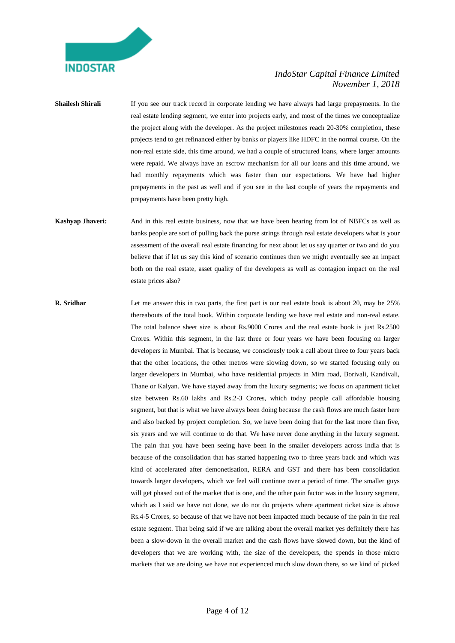

**Shailesh Shirali** If you see our track record in corporate lending we have always had large prepayments. In the real estate lending segment, we enter into projects early, and most of the times we conceptualize the project along with the developer. As the project milestones reach 20-30% completion, these projects tend to get refinanced either by banks or players like HDFC in the normal course. On the non-real estate side, this time around, we had a couple of structured loans, where larger amounts were repaid. We always have an escrow mechanism for all our loans and this time around, we had monthly repayments which was faster than our expectations. We have had higher prepayments in the past as well and if you see in the last couple of years the repayments and prepayments have been pretty high.

**Kashyap Jhaveri:** And in this real estate business, now that we have been hearing from lot of NBFCs as well as banks people are sort of pulling back the purse strings through real estate developers what is your assessment of the overall real estate financing for next about let us say quarter or two and do you believe that if let us say this kind of scenario continues then we might eventually see an impact both on the real estate, asset quality of the developers as well as contagion impact on the real estate prices also?

**R. Sridhar** Let me answer this in two parts, the first part is our real estate book is about 20, may be 25% thereabouts of the total book. Within corporate lending we have real estate and non-real estate. The total balance sheet size is about Rs.9000 Crores and the real estate book is just Rs.2500 Crores. Within this segment, in the last three or four years we have been focusing on larger developers in Mumbai. That is because, we consciously took a call about three to four years back that the other locations, the other metros were slowing down, so we started focusing only on larger developers in Mumbai, who have residential projects in Mira road, Borivali, Kandivali, Thane or Kalyan. We have stayed away from the luxury segments; we focus on apartment ticket size between Rs.60 lakhs and Rs.2-3 Crores, which today people call affordable housing segment, but that is what we have always been doing because the cash flows are much faster here and also backed by project completion. So, we have been doing that for the last more than five, six years and we will continue to do that. We have never done anything in the luxury segment. The pain that you have been seeing have been in the smaller developers across India that is because of the consolidation that has started happening two to three years back and which was kind of accelerated after demonetisation, RERA and GST and there has been consolidation towards larger developers, which we feel will continue over a period of time. The smaller guys will get phased out of the market that is one, and the other pain factor was in the luxury segment, which as I said we have not done, we do not do projects where apartment ticket size is above Rs.4-5 Crores, so because of that we have not been impacted much because of the pain in the real estate segment. That being said if we are talking about the overall market yes definitely there has been a slow-down in the overall market and the cash flows have slowed down, but the kind of developers that we are working with, the size of the developers, the spends in those micro markets that we are doing we have not experienced much slow down there, so we kind of picked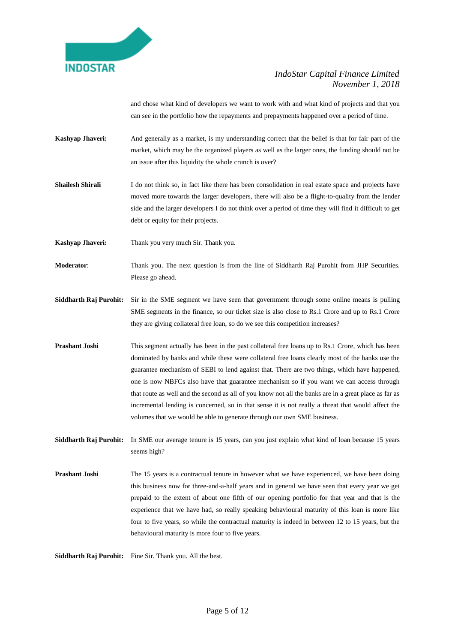

and chose what kind of developers we want to work with and what kind of projects and that you can see in the portfolio how the repayments and prepayments happened over a period of time.

- **Kashyap Jhaveri:** And generally as a market, is my understanding correct that the belief is that for fair part of the market, which may be the organized players as well as the larger ones, the funding should not be an issue after this liquidity the whole crunch is over?
- **Shailesh Shirali** I do not think so, in fact like there has been consolidation in real estate space and projects have moved more towards the larger developers, there will also be a flight-to-quality from the lender side and the larger developers I do not think over a period of time they will find it difficult to get debt or equity for their projects.

**Kashyap Jhaveri:** Thank you very much Sir. Thank you.

**Moderator**: Thank you. The next question is from the line of Siddharth Raj Purohit from JHP Securities. Please go ahead.

- **Siddharth Raj Purohit:** Sir in the SME segment we have seen that government through some online means is pulling SME segments in the finance, so our ticket size is also close to Rs.1 Crore and up to Rs.1 Crore they are giving collateral free loan, so do we see this competition increases?
- **Prashant Joshi** This segment actually has been in the past collateral free loans up to Rs.1 Crore, which has been dominated by banks and while these were collateral free loans clearly most of the banks use the guarantee mechanism of SEBI to lend against that. There are two things, which have happened, one is now NBFCs also have that guarantee mechanism so if you want we can access through that route as well and the second as all of you know not all the banks are in a great place as far as incremental lending is concerned, so in that sense it is not really a threat that would affect the volumes that we would be able to generate through our own SME business.

**Siddharth Raj Purohit:** In SME our average tenure is 15 years, can you just explain what kind of loan because 15 years seems high?

**Prashant Joshi** The 15 years is a contractual tenure in however what we have experienced, we have been doing this business now for three-and-a-half years and in general we have seen that every year we get prepaid to the extent of about one fifth of our opening portfolio for that year and that is the experience that we have had, so really speaking behavioural maturity of this loan is more like four to five years, so while the contractual maturity is indeed in between 12 to 15 years, but the behavioural maturity is more four to five years.

**Siddharth Raj Purohit:** Fine Sir. Thank you. All the best.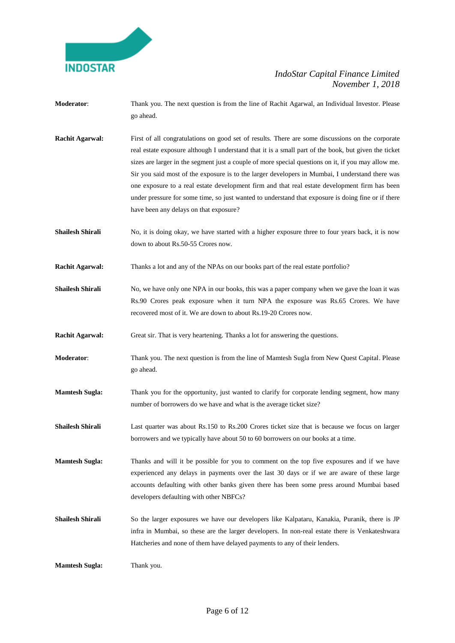

- **Moderator**: Thank you. The next question is from the line of Rachit Agarwal, an Individual Investor. Please go ahead.
- **Rachit Agarwal:** First of all congratulations on good set of results. There are some discussions on the corporate real estate exposure although I understand that it is a small part of the book, but given the ticket sizes are larger in the segment just a couple of more special questions on it, if you may allow me. Sir you said most of the exposure is to the larger developers in Mumbai, I understand there was one exposure to a real estate development firm and that real estate development firm has been under pressure for some time, so just wanted to understand that exposure is doing fine or if there have been any delays on that exposure?
- **Shailesh Shirali** No, it is doing okay, we have started with a higher exposure three to four years back, it is now down to about Rs.50-55 Crores now.
- **Rachit Agarwal:** Thanks a lot and any of the NPAs on our books part of the real estate portfolio?
- **Shailesh Shirali** No, we have only one NPA in our books, this was a paper company when we gave the loan it was Rs.90 Crores peak exposure when it turn NPA the exposure was Rs.65 Crores. We have recovered most of it. We are down to about Rs.19-20 Crores now.

**Rachit Agarwal:** Great sir. That is very heartening. Thanks a lot for answering the questions.

- **Moderator**: Thank you. The next question is from the line of Mamtesh Sugla from New Quest Capital. Please go ahead.
- **Mamtesh Sugla:** Thank you for the opportunity, just wanted to clarify for corporate lending segment, how many number of borrowers do we have and what is the average ticket size?
- **Shailesh Shirali** Last quarter was about Rs.150 to Rs.200 Crores ticket size that is because we focus on larger borrowers and we typically have about 50 to 60 borrowers on our books at a time.

**Mamtesh Sugla:** Thanks and will it be possible for you to comment on the top five exposures and if we have experienced any delays in payments over the last 30 days or if we are aware of these large accounts defaulting with other banks given there has been some press around Mumbai based developers defaulting with other NBFCs?

**Shailesh Shirali** So the larger exposures we have our developers like Kalpataru, Kanakia, Puranik, there is JP infra in Mumbai, so these are the larger developers. In non-real estate there is Venkateshwara Hatcheries and none of them have delayed payments to any of their lenders.

**Mamtesh Sugla:** Thank you.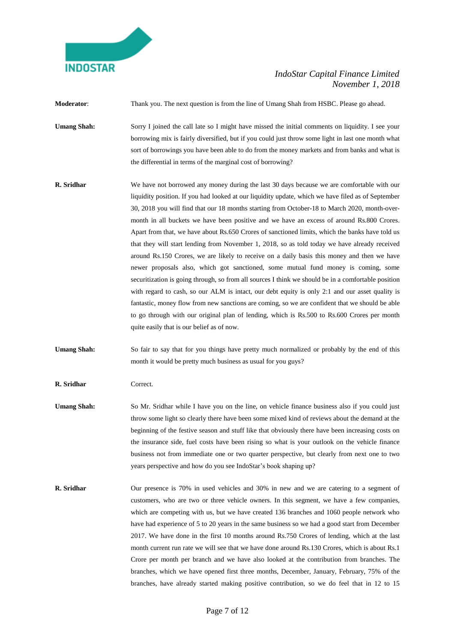

**Moderator**: Thank you. The next question is from the line of Umang Shah from HSBC. Please go ahead. **Umang Shah:** Sorry I joined the call late so I might have missed the initial comments on liquidity. I see your borrowing mix is fairly diversified, but if you could just throw some light in last one month what sort of borrowings you have been able to do from the money markets and from banks and what is

the differential in terms of the marginal cost of borrowing?

- **R. Sridhar** We have not borrowed any money during the last 30 days because we are comfortable with our liquidity position. If you had looked at our liquidity update, which we have filed as of September 30, 2018 you will find that our 18 months starting from October-18 to March 2020, month-overmonth in all buckets we have been positive and we have an excess of around Rs.800 Crores. Apart from that, we have about Rs.650 Crores of sanctioned limits, which the banks have told us that they will start lending from November 1, 2018, so as told today we have already received around Rs.150 Crores, we are likely to receive on a daily basis this money and then we have newer proposals also, which got sanctioned, some mutual fund money is coming, some securitization is going through, so from all sources I think we should be in a comfortable position with regard to cash, so our ALM is intact, our debt equity is only 2:1 and our asset quality is fantastic, money flow from new sanctions are coming, so we are confident that we should be able to go through with our original plan of lending, which is Rs.500 to Rs.600 Crores per month quite easily that is our belief as of now.
- Umang Shah: So fair to say that for you things have pretty much normalized or probably by the end of this month it would be pretty much business as usual for you guys?

**R. Sridhar** Correct.

- **Umang Shah:** So Mr. Sridhar while I have you on the line, on vehicle finance business also if you could just throw some light so clearly there have been some mixed kind of reviews about the demand at the beginning of the festive season and stuff like that obviously there have been increasing costs on the insurance side, fuel costs have been rising so what is your outlook on the vehicle finance business not from immediate one or two quarter perspective, but clearly from next one to two years perspective and how do you see IndoStar's book shaping up?
- **R. Sridhar** Our presence is 70% in used vehicles and 30% in new and we are catering to a segment of customers, who are two or three vehicle owners. In this segment, we have a few companies, which are competing with us, but we have created 136 branches and 1060 people network who have had experience of 5 to 20 years in the same business so we had a good start from December 2017. We have done in the first 10 months around Rs.750 Crores of lending, which at the last month current run rate we will see that we have done around Rs.130 Crores, which is about Rs.1 Crore per month per branch and we have also looked at the contribution from branches. The branches, which we have opened first three months, December, January, February, 75% of the branches, have already started making positive contribution, so we do feel that in 12 to 15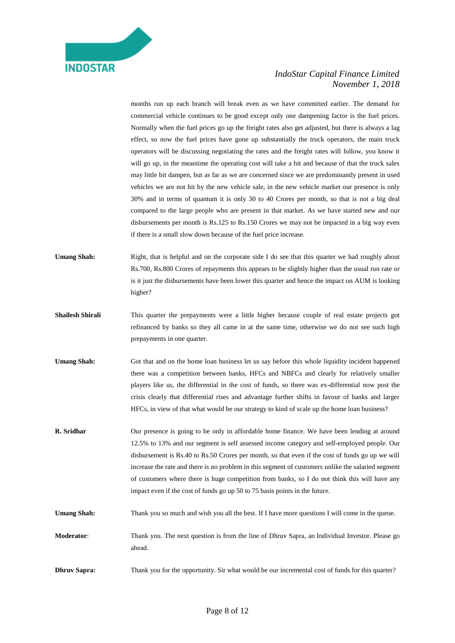

months run up each branch will break even as we have committed earlier. The demand for commercial vehicle continues to be good except only one dampening factor is the fuel prices. Normally when the fuel prices go up the freight rates also get adjusted, but there is always a lag effect, so now the fuel prices have gone up substantially the truck operators, the main truck operators will be discussing negotiating the rates and the freight rates will follow, you know it will go up, in the meantime the operating cost will take a hit and because of that the truck sales may little bit dampen, but as far as we are concerned since we are predominantly present in used vehicles we are not hit by the new vehicle sale, in the new vehicle market our presence is only 30% and in terms of quantum it is only 30 to 40 Crores per month, so that is not a big deal compared to the large people who are present in that market. As we have started new and our disbursements per month is Rs.125 to Rs.150 Crores we may not be impacted in a big way even if there is a small slow down because of the fuel price increase.

- **Umang Shah:** Right, that is helpful and on the corporate side I do see that this quarter we had roughly about Rs.700, Rs.800 Crores of repayments this appears to be slightly higher than the usual run rate or is it just the disbursements have been lower this quarter and hence the impact on AUM is looking higher?
- **Shailesh Shirali** This quarter the prepayments were a little higher because couple of real estate projects got refinanced by banks so they all came in at the same time, otherwise we do not see such high prepayments in one quarter.
- Umang Shah: Got that and on the home loan business let us say before this whole liquidity incident happened there was a competition between banks, HFCs and NBFCs and clearly for relatively smaller players like us, the differential in the cost of funds, so there was ex-differential now post the crisis clearly that differential rises and advantage further shifts in favour of banks and larger HFCs, in view of that what would be our strategy to kind of scale up the home loan business?
- **R. Sridhar** Our presence is going to be only in affordable home finance. We have been lending at around 12.5% to 13% and our segment is self assessed income category and self-employed people. Our disbursement is Rs.40 to Rs.50 Crores per month, so that even if the cost of funds go up we will increase the rate and there is no problem in this segment of customers unlike the salaried segment of customers where there is huge competition from banks, so I do not think this will have any impact even if the cost of funds go up 50 to 75 basis points in the future.
- Umang Shah: Thank you so much and wish you all the best. If I have more questions I will come in the queue.
- **Moderator**: Thank you. The next question is from the line of Dhruv Sapra, an Individual Investor. Please go ahead.
- **Dhruv Sapra:** Thank you for the opportunity. Sir what would be our incremental cost of funds for this quarter?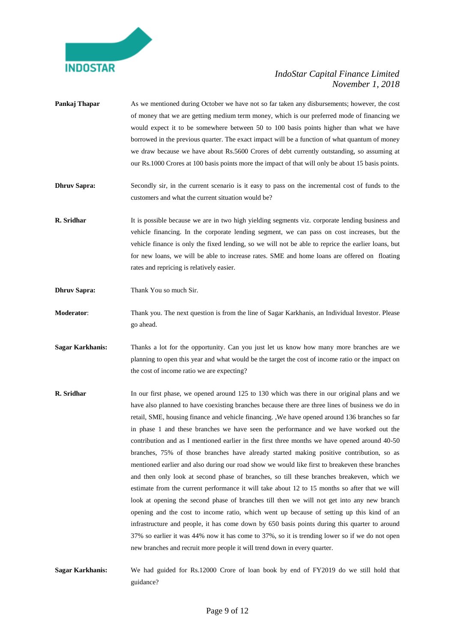

- **Pankaj Thapar** As we mentioned during October we have not so far taken any disbursements; however, the cost of money that we are getting medium term money, which is our preferred mode of financing we would expect it to be somewhere between 50 to 100 basis points higher than what we have borrowed in the previous quarter. The exact impact will be a function of what quantum of money we draw because we have about Rs.5600 Crores of debt currently outstanding, so assuming at our Rs.1000 Crores at 100 basis points more the impact of that will only be about 15 basis points.
- **Dhruv Sapra:** Secondly sir, in the current scenario is it easy to pass on the incremental cost of funds to the customers and what the current situation would be?
- **R. Sridhar** It is possible because we are in two high yielding segments viz. corporate lending business and vehicle financing. In the corporate lending segment, we can pass on cost increases, but the vehicle finance is only the fixed lending, so we will not be able to reprice the earlier loans, but for new loans, we will be able to increase rates. SME and home loans are offered on floating rates and repricing is relatively easier.
- **Dhruv Sapra:** Thank You so much Sir.
- **Moderator**: Thank you. The next question is from the line of Sagar Karkhanis, an Individual Investor. Please go ahead.
- **Sagar Karkhanis:** Thanks a lot for the opportunity. Can you just let us know how many more branches are we planning to open this year and what would be the target the cost of income ratio or the impact on the cost of income ratio we are expecting?
- **R. Sridhar** In our first phase, we opened around 125 to 130 which was there in our original plans and we have also planned to have coexisting branches because there are three lines of business we do in retail, SME, housing finance and vehicle financing. ,We have opened around 136 branches so far in phase 1 and these branches we have seen the performance and we have worked out the contribution and as I mentioned earlier in the first three months we have opened around 40-50 branches, 75% of those branches have already started making positive contribution, so as mentioned earlier and also during our road show we would like first to breakeven these branches and then only look at second phase of branches, so till these branches breakeven, which we estimate from the current performance it will take about 12 to 15 months so after that we will look at opening the second phase of branches till then we will not get into any new branch opening and the cost to income ratio, which went up because of setting up this kind of an infrastructure and people, it has come down by 650 basis points during this quarter to around 37% so earlier it was 44% now it has come to 37%, so it is trending lower so if we do not open new branches and recruit more people it will trend down in every quarter.
- **Sagar Karkhanis:** We had guided for Rs.12000 Crore of loan book by end of FY2019 do we still hold that guidance?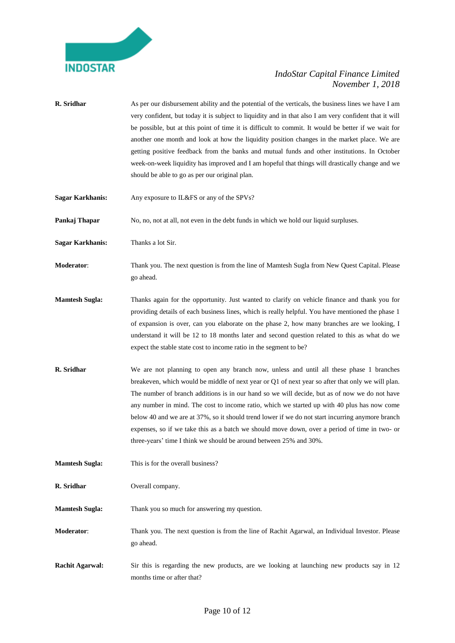

- **R. Sridhar** As per our disbursement ability and the potential of the verticals, the business lines we have I am very confident, but today it is subject to liquidity and in that also I am very confident that it will be possible, but at this point of time it is difficult to commit. It would be better if we wait for another one month and look at how the liquidity position changes in the market place. We are getting positive feedback from the banks and mutual funds and other institutions. In October week-on-week liquidity has improved and I am hopeful that things will drastically change and we should be able to go as per our original plan.
- **Sagar Karkhanis:** Any exposure to IL&FS or any of the SPVs?

**Pankaj Thapar** No, no, not at all, not even in the debt funds in which we hold our liquid surpluses.

**Sagar Karkhanis:** Thanks a lot Sir.

**Moderator**: Thank you. The next question is from the line of Mamtesh Sugla from New Quest Capital. Please go ahead.

- **Mamtesh Sugla:** Thanks again for the opportunity. Just wanted to clarify on vehicle finance and thank you for providing details of each business lines, which is really helpful. You have mentioned the phase 1 of expansion is over, can you elaborate on the phase 2, how many branches are we looking, I understand it will be 12 to 18 months later and second question related to this as what do we expect the stable state cost to income ratio in the segment to be?
- **R. Sridhar** We are not planning to open any branch now, unless and until all these phase 1 branches breakeven, which would be middle of next year or Q1 of next year so after that only we will plan. The number of branch additions is in our hand so we will decide, but as of now we do not have any number in mind. The cost to income ratio, which we started up with 40 plus has now come below 40 and we are at 37%, so it should trend lower if we do not start incurring anymore branch expenses, so if we take this as a batch we should move down, over a period of time in two- or three-years' time I think we should be around between 25% and 30%.
- **Mamtesh Sugla:** This is for the overall business?

**R. Sridhar** Overall company.

**Mamtesh Sugla:** Thank you so much for answering my question.

**Moderator**: Thank you. The next question is from the line of Rachit Agarwal, an Individual Investor. Please go ahead.

**Rachit Agarwal:** Sir this is regarding the new products, are we looking at launching new products say in 12 months time or after that?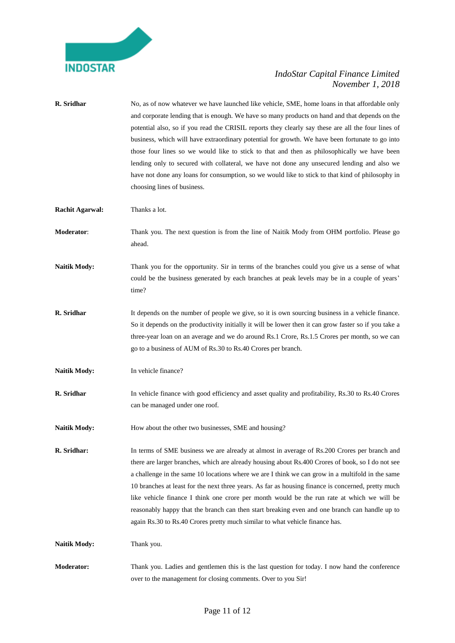

| R. Sridhar             | No, as of now whatever we have launched like vehicle, SME, home loans in that affordable only<br>and corporate lending that is enough. We have so many products on hand and that depends on the<br>potential also, so if you read the CRISIL reports they clearly say these are all the four lines of<br>business, which will have extraordinary potential for growth. We have been fortunate to go into<br>those four lines so we would like to stick to that and then as philosophically we have been<br>lending only to secured with collateral, we have not done any unsecured lending and also we<br>have not done any loans for consumption, so we would like to stick to that kind of philosophy in<br>choosing lines of business. |
|------------------------|-------------------------------------------------------------------------------------------------------------------------------------------------------------------------------------------------------------------------------------------------------------------------------------------------------------------------------------------------------------------------------------------------------------------------------------------------------------------------------------------------------------------------------------------------------------------------------------------------------------------------------------------------------------------------------------------------------------------------------------------|
| <b>Rachit Agarwal:</b> | Thanks a lot.                                                                                                                                                                                                                                                                                                                                                                                                                                                                                                                                                                                                                                                                                                                             |
| Moderator:             | Thank you. The next question is from the line of Naitik Mody from OHM portfolio. Please go<br>ahead.                                                                                                                                                                                                                                                                                                                                                                                                                                                                                                                                                                                                                                      |
| <b>Naitik Mody:</b>    | Thank you for the opportunity. Sir in terms of the branches could you give us a sense of what<br>could be the business generated by each branches at peak levels may be in a couple of years'<br>time?                                                                                                                                                                                                                                                                                                                                                                                                                                                                                                                                    |
| R. Sridhar             | It depends on the number of people we give, so it is own sourcing business in a vehicle finance.<br>So it depends on the productivity initially it will be lower then it can grow faster so if you take a<br>three-year loan on an average and we do around Rs.1 Crore, Rs.1.5 Crores per month, so we can<br>go to a business of AUM of Rs.30 to Rs.40 Crores per branch.                                                                                                                                                                                                                                                                                                                                                                |
| <b>Naitik Mody:</b>    | In vehicle finance?                                                                                                                                                                                                                                                                                                                                                                                                                                                                                                                                                                                                                                                                                                                       |
| R. Sridhar             | In vehicle finance with good efficiency and asset quality and profitability, Rs.30 to Rs.40 Crores<br>can be managed under one roof.                                                                                                                                                                                                                                                                                                                                                                                                                                                                                                                                                                                                      |
| <b>Naitik Mody:</b>    | How about the other two businesses, SME and housing?                                                                                                                                                                                                                                                                                                                                                                                                                                                                                                                                                                                                                                                                                      |
| R. Sridhar:            | In terms of SME business we are already at almost in average of Rs.200 Crores per branch and<br>there are larger branches, which are already housing about Rs.400 Crores of book, so I do not see<br>a challenge in the same 10 locations where we are I think we can grow in a multifold in the same<br>10 branches at least for the next three years. As far as housing finance is concerned, pretty much<br>like vehicle finance I think one crore per month would be the run rate at which we will be<br>reasonably happy that the branch can then start breaking even and one branch can handle up to<br>again Rs.30 to Rs.40 Crores pretty much similar to what vehicle finance has.                                                |
| <b>Naitik Mody:</b>    | Thank you.                                                                                                                                                                                                                                                                                                                                                                                                                                                                                                                                                                                                                                                                                                                                |
| Moderator:             | Thank you. Ladies and gentlemen this is the last question for today. I now hand the conference<br>over to the management for closing comments. Over to you Sir!                                                                                                                                                                                                                                                                                                                                                                                                                                                                                                                                                                           |